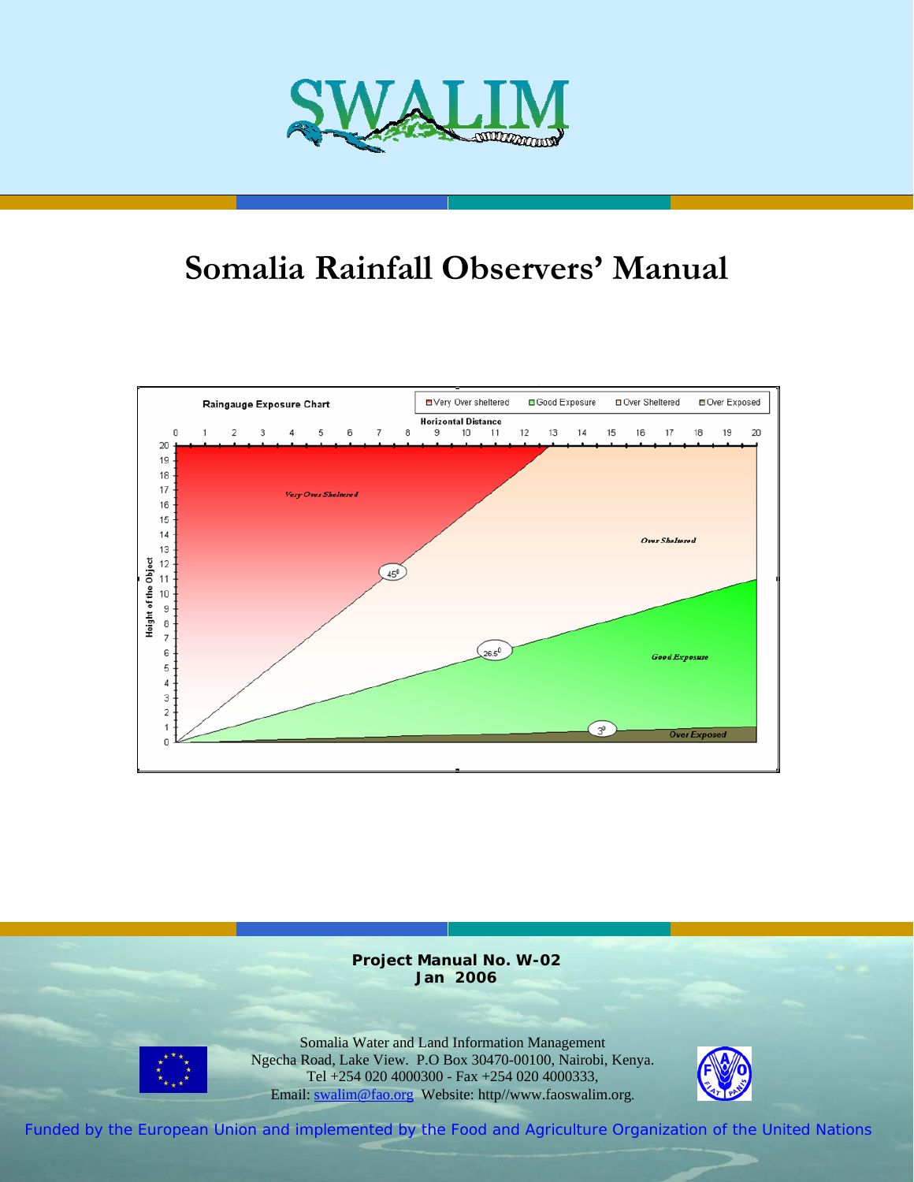

# **Somalia Rainfall Observers' Manual**



**Project Manual No. W-02 Jan 2006** 



Somalia Water and Land Information Management Ngecha Road, Lake View. P.O Box 30470-00100, Nairobi, Kenya. Tel +254 020 4000300 - Fax +254 020 4000333, Email: swalim@fao.org Website: http//www.faoswalim.org.



Funded by the European Union and implemented by the Food and Agriculture Organization of the United Nations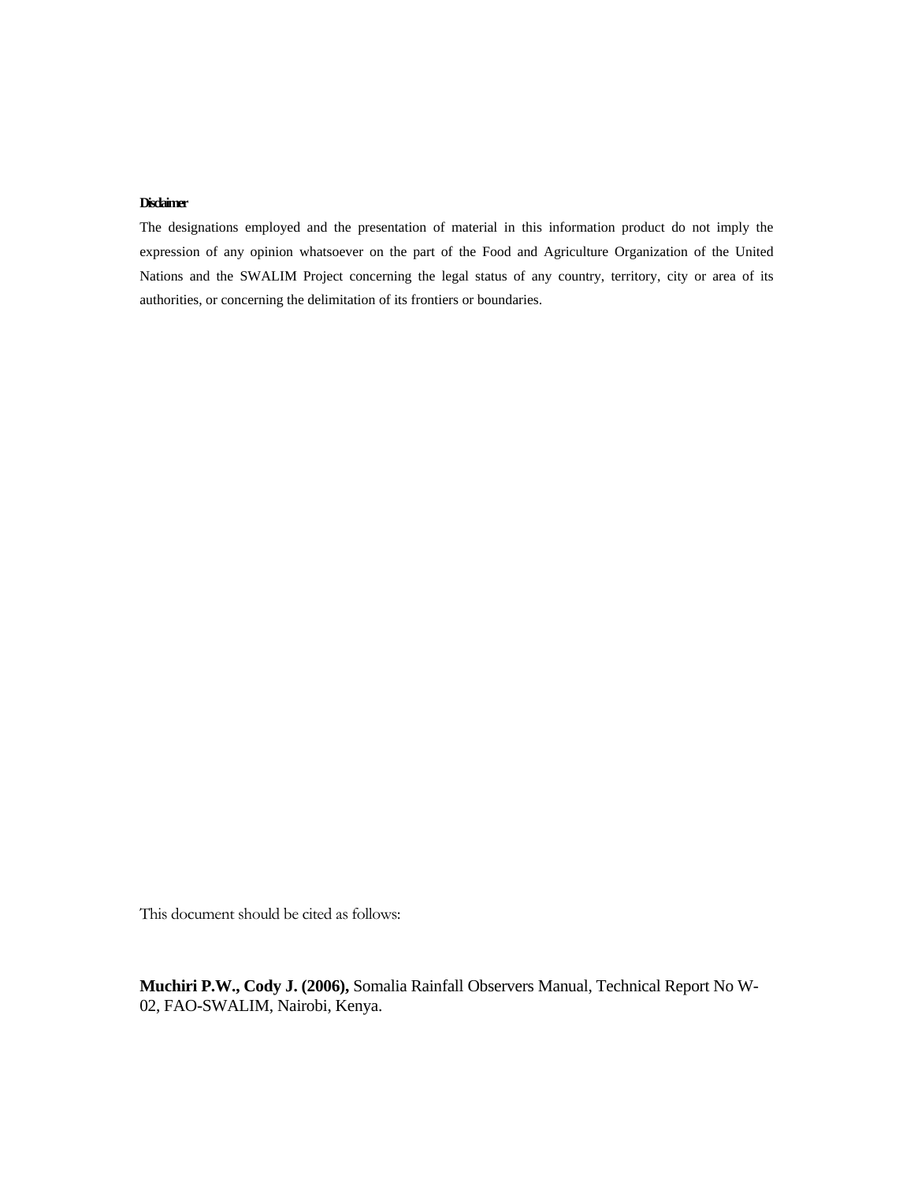#### **Disclaimer**

The designations employed and the presentation of material in this information product do not imply the expression of any opinion whatsoever on the part of the Food and Agriculture Organization of the United Nations and the SWALIM Project concerning the legal status of any country, territory, city or area of its authorities, or concerning the delimitation of its frontiers or boundaries.

This document should be cited as follows:

**Muchiri P.W., Cody J. (2006),** Somalia Rainfall Observers Manual, Technical Report No W-02, FAO-SWALIM, Nairobi, Kenya.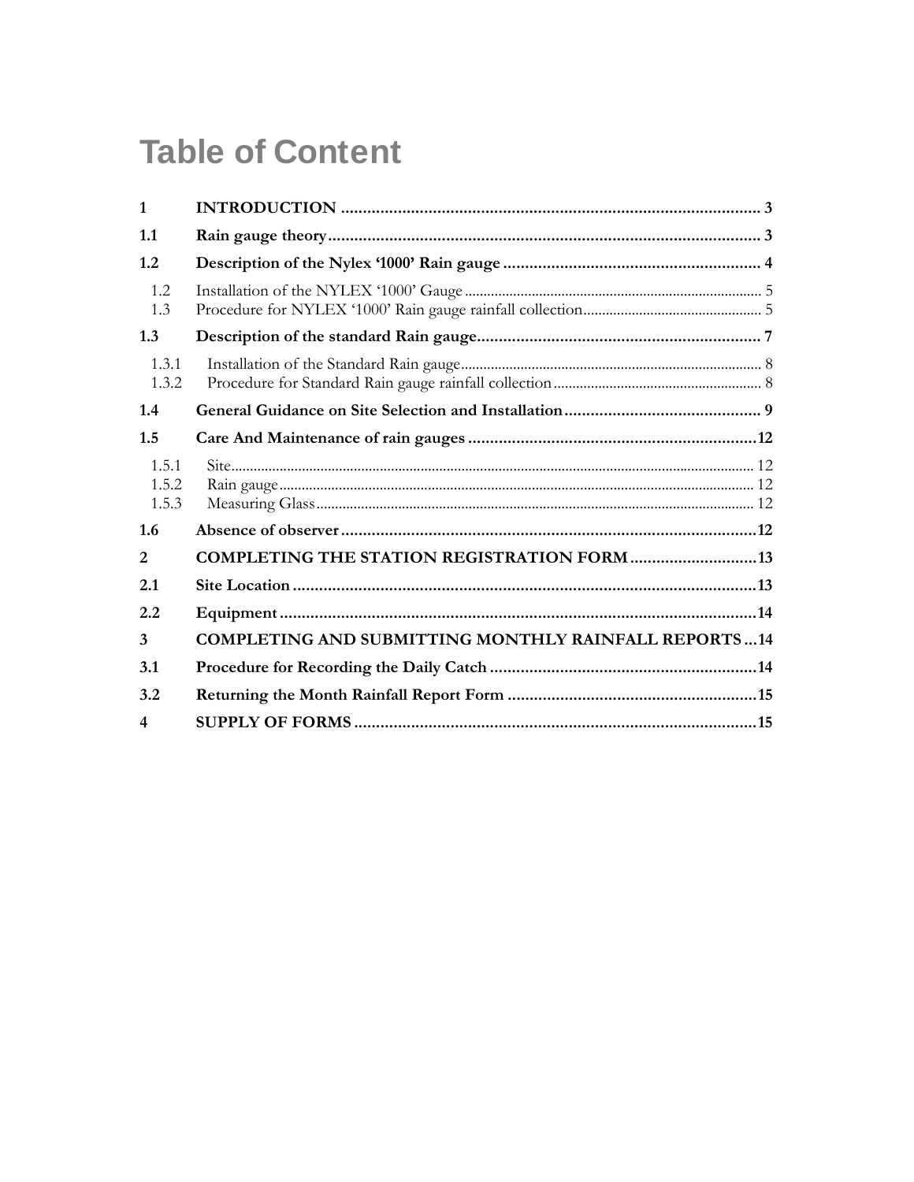# **Table of Content**

| $\mathbf{1}$            |                                                             |  |
|-------------------------|-------------------------------------------------------------|--|
| 1.1                     |                                                             |  |
| 1.2                     |                                                             |  |
| 1.2<br>1.3              |                                                             |  |
| 1.3                     |                                                             |  |
| 1.3.1<br>1.3.2          |                                                             |  |
| 1.4                     |                                                             |  |
| 1.5                     |                                                             |  |
| 1.5.1<br>1.5.2<br>1.5.3 |                                                             |  |
| 1.6                     |                                                             |  |
| 2                       | <b>COMPLETING THE STATION REGISTRATION FORM  13</b>         |  |
| 2.1                     |                                                             |  |
| 2.2                     |                                                             |  |
| $\mathbf{3}$            | <b>COMPLETING AND SUBMITTING MONTHLY RAINFALL REPORTS14</b> |  |
| 3.1                     |                                                             |  |
| 3.2                     |                                                             |  |
| $\boldsymbol{4}$        |                                                             |  |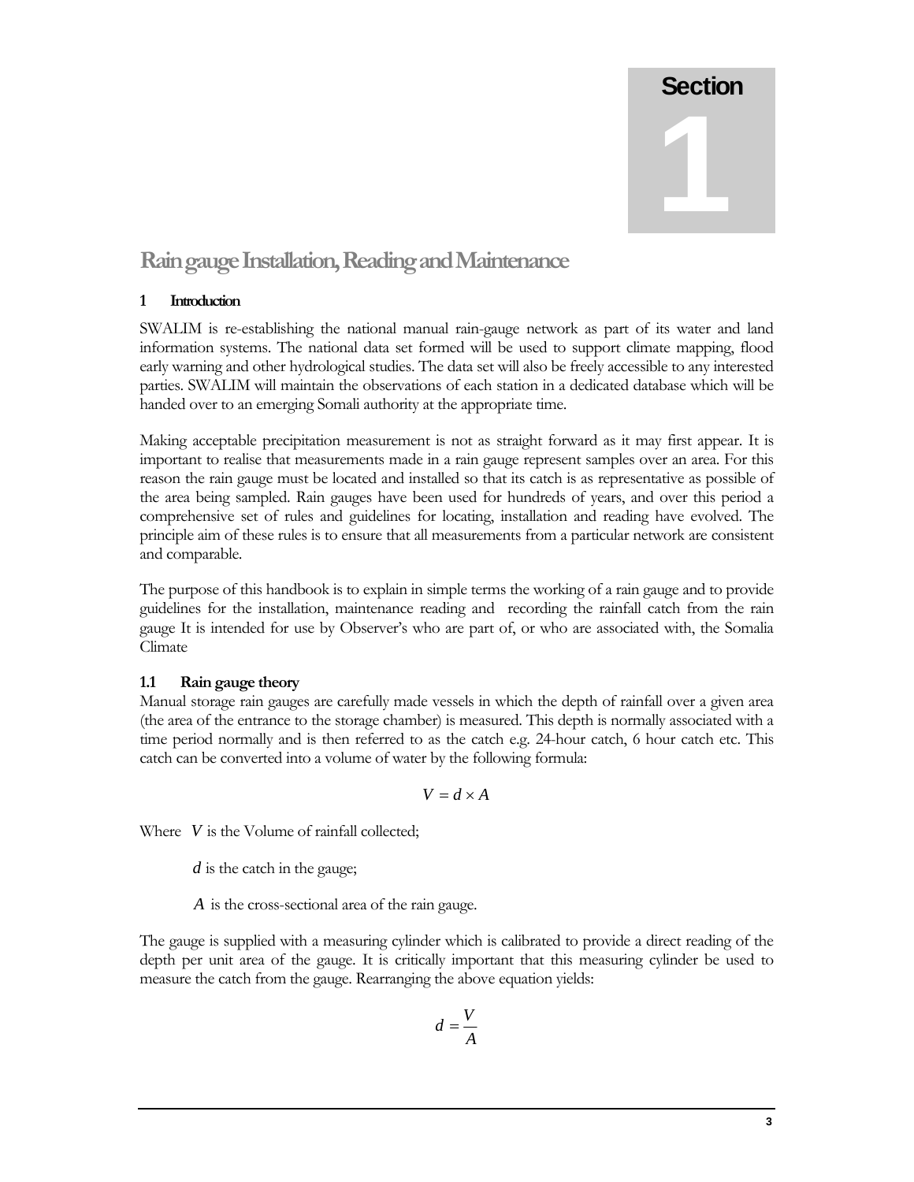

# **Rain gauge Installation, Reading and Maintenance**

### **1 Introduction**

SWALIM is re-establishing the national manual rain-gauge network as part of its water and land information systems. The national data set formed will be used to support climate mapping, flood early warning and other hydrological studies. The data set will also be freely accessible to any interested parties. SWALIM will maintain the observations of each station in a dedicated database which will be handed over to an emerging Somali authority at the appropriate time.

Making acceptable precipitation measurement is not as straight forward as it may first appear. It is important to realise that measurements made in a rain gauge represent samples over an area. For this reason the rain gauge must be located and installed so that its catch is as representative as possible of the area being sampled. Rain gauges have been used for hundreds of years, and over this period a comprehensive set of rules and guidelines for locating, installation and reading have evolved. The principle aim of these rules is to ensure that all measurements from a particular network are consistent and comparable.

The purpose of this handbook is to explain in simple terms the working of a rain gauge and to provide guidelines for the installation, maintenance reading and recording the rainfall catch from the rain gauge It is intended for use by Observer's who are part of, or who are associated with, the Somalia Climate

# **1.1 Rain gauge theory**

Manual storage rain gauges are carefully made vessels in which the depth of rainfall over a given area (the area of the entrance to the storage chamber) is measured. This depth is normally associated with a time period normally and is then referred to as the catch e.g. 24-hour catch, 6 hour catch etc. This catch can be converted into a volume of water by the following formula:

$$
V = d \times A
$$

Where *V* is the Volume of rainfall collected;

*d* is the catch in the gauge;

*A* is the cross-sectional area of the rain gauge.

The gauge is supplied with a measuring cylinder which is calibrated to provide a direct reading of the depth per unit area of the gauge. It is critically important that this measuring cylinder be used to measure the catch from the gauge. Rearranging the above equation yields:

$$
d=\frac{V}{A}
$$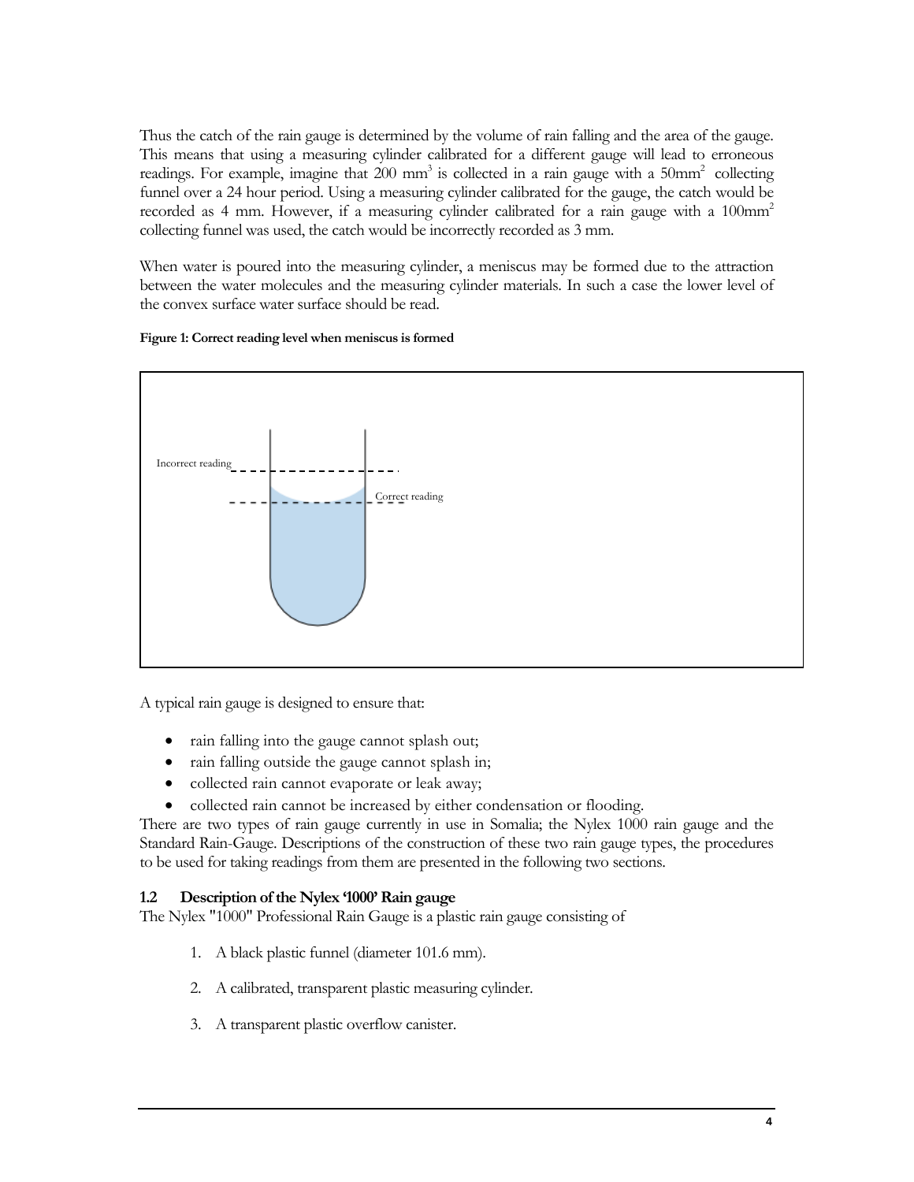Thus the catch of the rain gauge is determined by the volume of rain falling and the area of the gauge. This means that using a measuring cylinder calibrated for a different gauge will lead to erroneous readings. For example, imagine that  $200 \text{ mm}^3$  is collected in a rain gauge with a  $50 \text{mm}^2$  collecting funnel over a 24 hour period. Using a measuring cylinder calibrated for the gauge, the catch would be recorded as 4 mm. However, if a measuring cylinder calibrated for a rain gauge with a  $100 \text{mm}^2$ collecting funnel was used, the catch would be incorrectly recorded as 3 mm.

When water is poured into the measuring cylinder, a meniscus may be formed due to the attraction between the water molecules and the measuring cylinder materials. In such a case the lower level of the convex surface water surface should be read.

### **Figure 1: Correct reading level when meniscus is formed**



A typical rain gauge is designed to ensure that:

- rain falling into the gauge cannot splash out;
- rain falling outside the gauge cannot splash in;
- collected rain cannot evaporate or leak away;
- collected rain cannot be increased by either condensation or flooding.

There are two types of rain gauge currently in use in Somalia; the Nylex 1000 rain gauge and the Standard Rain-Gauge. Descriptions of the construction of these two rain gauge types, the procedures to be used for taking readings from them are presented in the following two sections.

### **1.2 Description of the Nylex '1000' Rain gauge**

The Nylex "1000" Professional Rain Gauge is a plastic rain gauge consisting of

- 1. A black plastic funnel (diameter 101.6 mm).
- 2. A calibrated, transparent plastic measuring cylinder.
- 3. A transparent plastic overflow canister.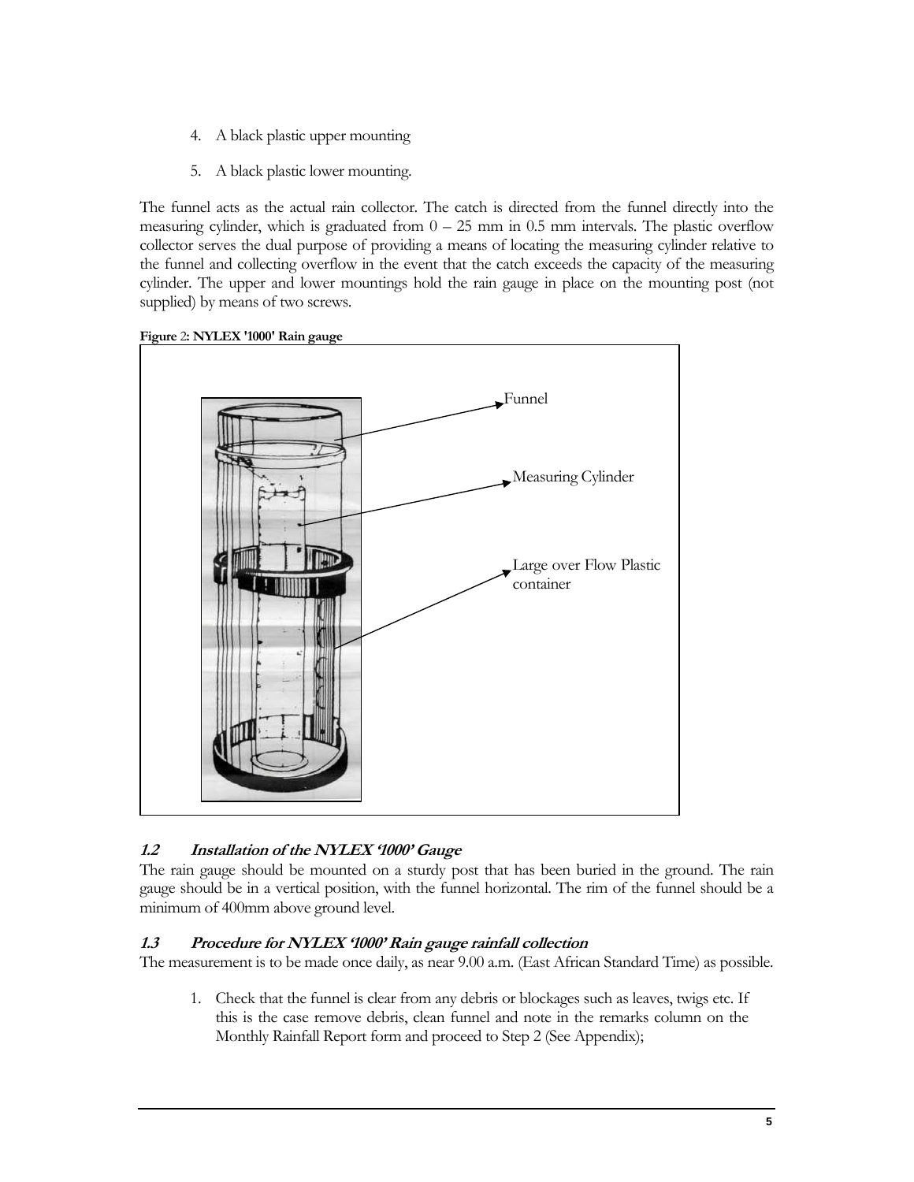- 4. A black plastic upper mounting
- 5. A black plastic lower mounting.

The funnel acts as the actual rain collector. The catch is directed from the funnel directly into the measuring cylinder, which is graduated from  $0 - 25$  mm in 0.5 mm intervals. The plastic overflow collector serves the dual purpose of providing a means of locating the measuring cylinder relative to the funnel and collecting overflow in the event that the catch exceeds the capacity of the measuring cylinder. The upper and lower mountings hold the rain gauge in place on the mounting post (not supplied) by means of two screws.



#### **Figure** 2**: NYLEX '1000' Rain gauge**

# **1.2 Installation of the NYLEX '1000' Gauge**

The rain gauge should be mounted on a sturdy post that has been buried in the ground. The rain gauge should be in a vertical position, with the funnel horizontal. The rim of the funnel should be a minimum of 400mm above ground level.

# **1.3 Procedure for NYLEX '1000' Rain gauge rainfall collection**

The measurement is to be made once daily, as near 9.00 a.m. (East African Standard Time) as possible.

1. Check that the funnel is clear from any debris or blockages such as leaves, twigs etc. If this is the case remove debris, clean funnel and note in the remarks column on the Monthly Rainfall Report form and proceed to Step 2 (See Appendix);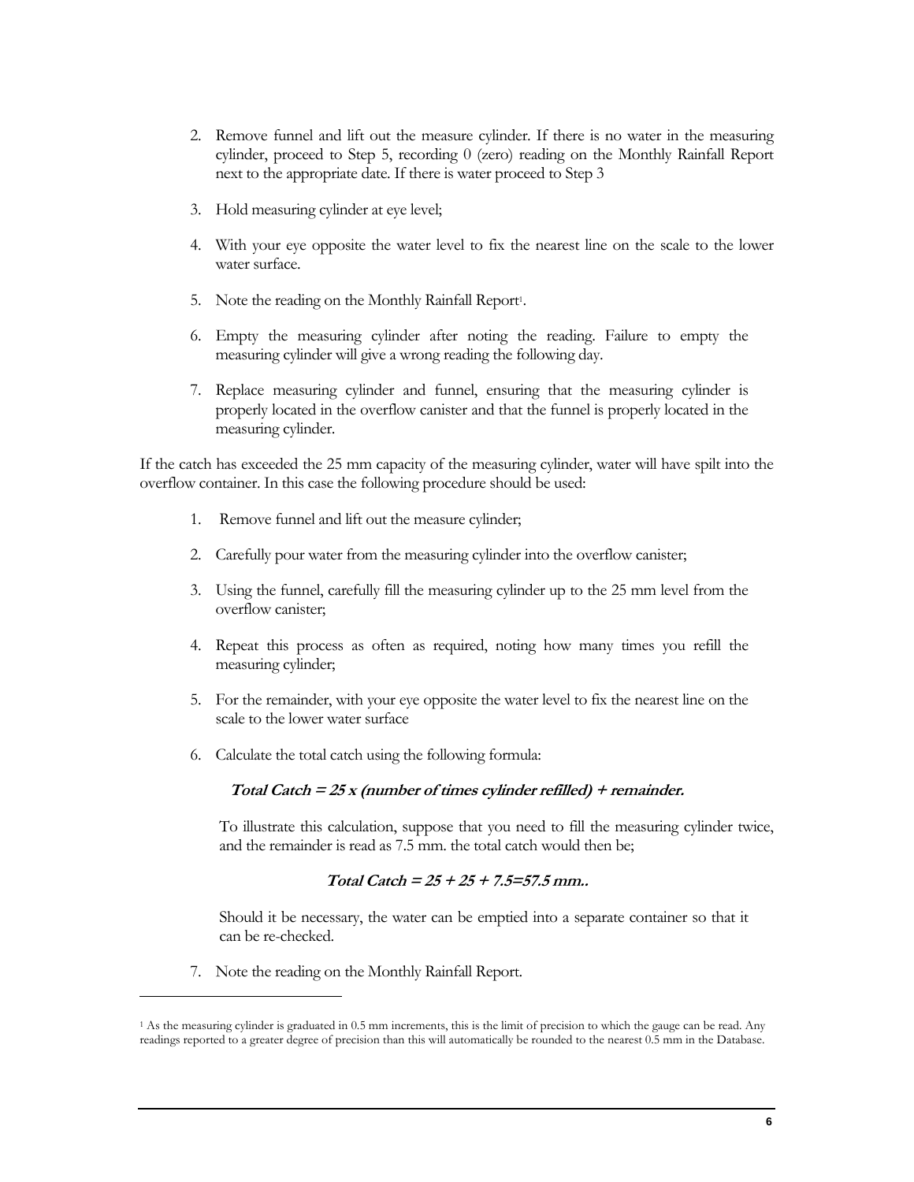- 2. Remove funnel and lift out the measure cylinder. If there is no water in the measuring cylinder, proceed to Step 5, recording 0 (zero) reading on the Monthly Rainfall Report next to the appropriate date. If there is water proceed to Step 3
- 3. Hold measuring cylinder at eye level;
- 4. With your eye opposite the water level to fix the nearest line on the scale to the lower water surface.
- 5. Note the reading on the Monthly Rainfall Report<sup>1</sup>.
- 6. Empty the measuring cylinder after noting the reading. Failure to empty the measuring cylinder will give a wrong reading the following day.
- 7. Replace measuring cylinder and funnel, ensuring that the measuring cylinder is properly located in the overflow canister and that the funnel is properly located in the measuring cylinder.

If the catch has exceeded the 25 mm capacity of the measuring cylinder, water will have spilt into the overflow container. In this case the following procedure should be used:

- 1. Remove funnel and lift out the measure cylinder;
- 2. Carefully pour water from the measuring cylinder into the overflow canister;
- 3. Using the funnel, carefully fill the measuring cylinder up to the 25 mm level from the overflow canister;
- 4. Repeat this process as often as required, noting how many times you refill the measuring cylinder;
- 5. For the remainder, with your eye opposite the water level to fix the nearest line on the scale to the lower water surface
- 6. Calculate the total catch using the following formula:

### **Total Catch = 25 x (number of times cylinder refilled) + remainder.**

To illustrate this calculation, suppose that you need to fill the measuring cylinder twice, and the remainder is read as 7.5 mm. the total catch would then be;

### **Total Catch = 25 + 25 + 7.5=57.5 mm..**

Should it be necessary, the water can be emptied into a separate container so that it can be re-checked.

7. Note the reading on the Monthly Rainfall Report.

 $\overline{a}$ 

<sup>1</sup> As the measuring cylinder is graduated in 0.5 mm increments, this is the limit of precision to which the gauge can be read. Any readings reported to a greater degree of precision than this will automatically be rounded to the nearest 0.5 mm in the Database.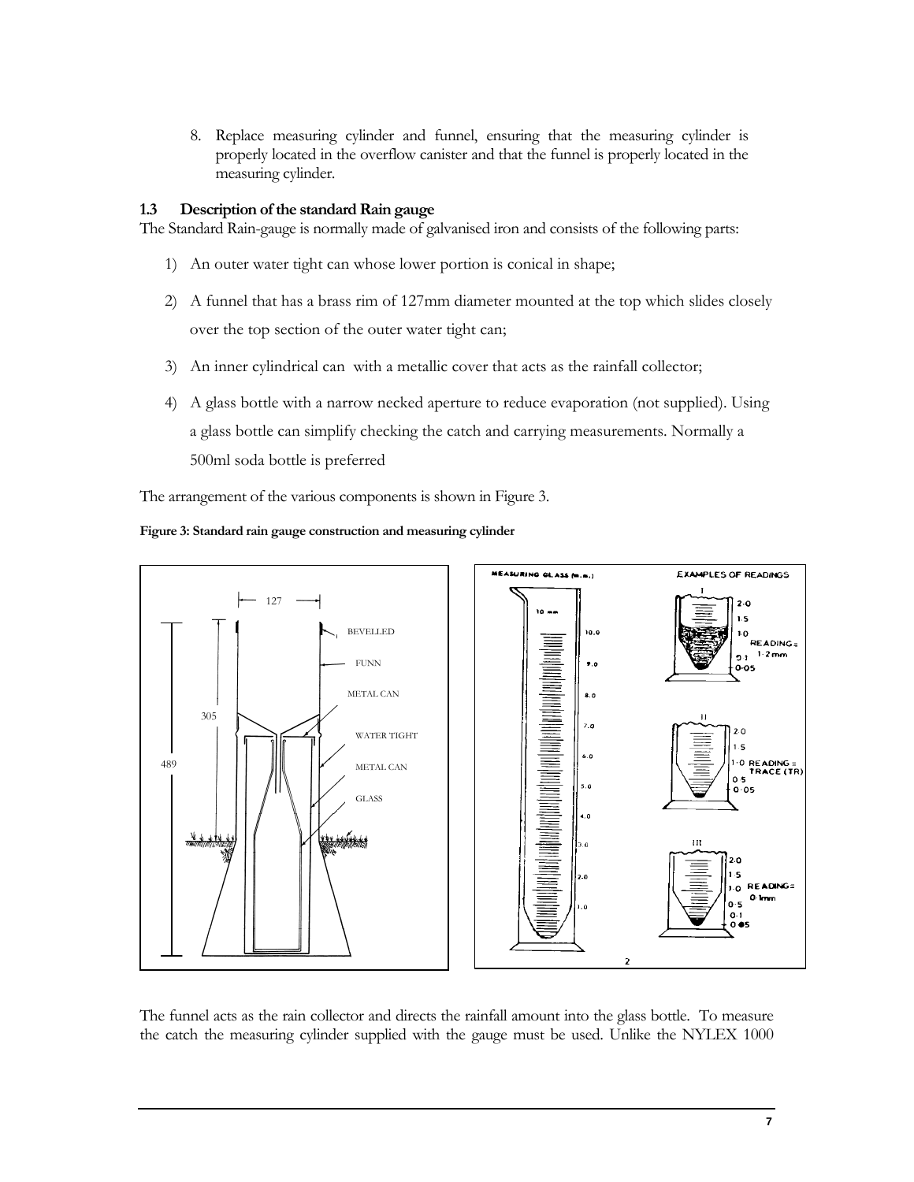8. Replace measuring cylinder and funnel, ensuring that the measuring cylinder is properly located in the overflow canister and that the funnel is properly located in the measuring cylinder.

### **1.3 Description of the standard Rain gauge**

The Standard Rain-gauge is normally made of galvanised iron and consists of the following parts:

- 1) An outer water tight can whose lower portion is conical in shape;
- 2) A funnel that has a brass rim of 127mm diameter mounted at the top which slides closely over the top section of the outer water tight can;
- 3) An inner cylindrical can with a metallic cover that acts as the rainfall collector;
- 4) A glass bottle with a narrow necked aperture to reduce evaporation (not supplied). Using a glass bottle can simplify checking the catch and carrying measurements. Normally a 500ml soda bottle is preferred

The arrangement of the various components is shown in Figure 3.



#### **Figure 3: Standard rain gauge construction and measuring cylinder**

The funnel acts as the rain collector and directs the rainfall amount into the glass bottle. To measure the catch the measuring cylinder supplied with the gauge must be used. Unlike the NYLEX 1000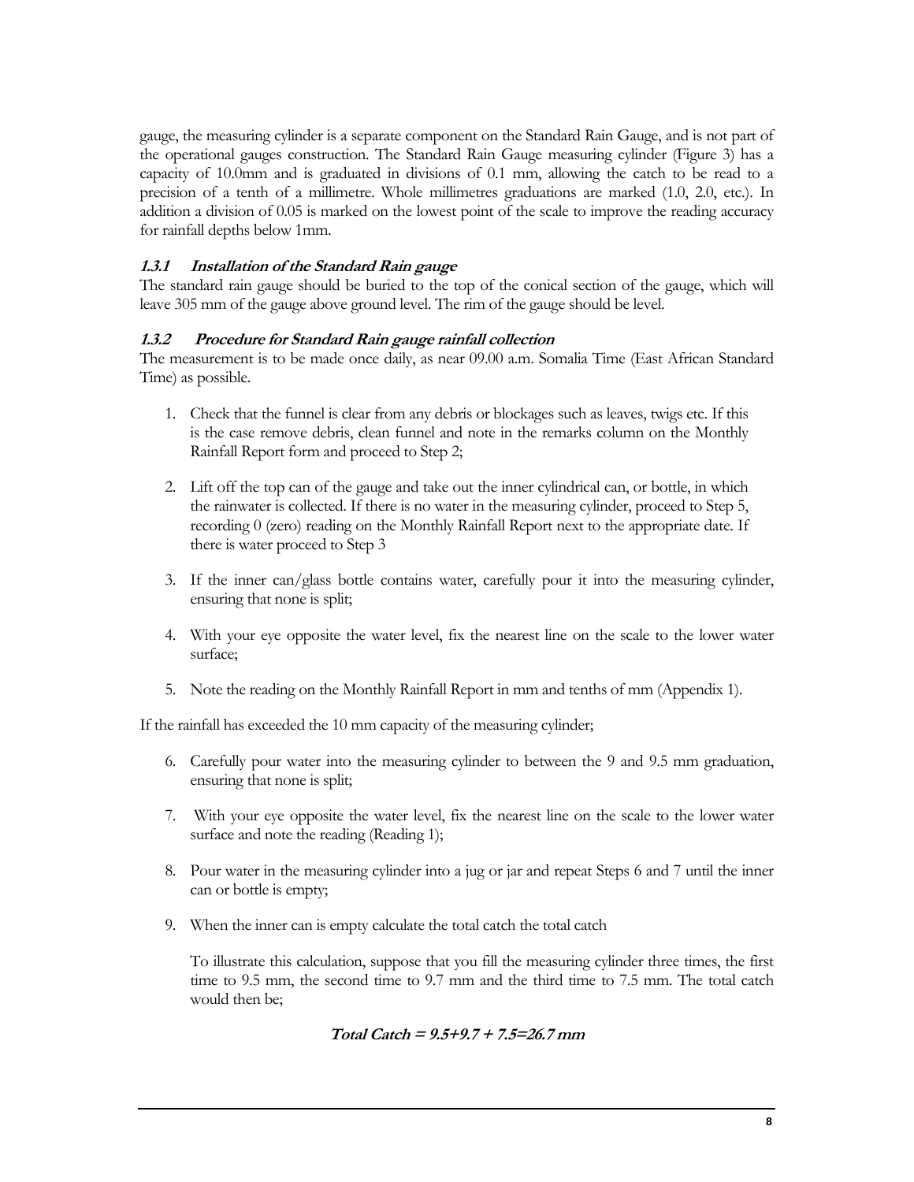gauge, the measuring cylinder is a separate component on the Standard Rain Gauge, and is not part of the operational gauges construction. The Standard Rain Gauge measuring cylinder (Figure 3) has a capacity of 10.0mm and is graduated in divisions of 0.1 mm, allowing the catch to be read to a precision of a tenth of a millimetre. Whole millimetres graduations are marked (1.0, 2.0, etc.). In addition a division of 0.05 is marked on the lowest point of the scale to improve the reading accuracy for rainfall depths below 1mm.

# **1.3.1 Installation of the Standard Rain gauge**

The standard rain gauge should be buried to the top of the conical section of the gauge, which will leave 305 mm of the gauge above ground level. The rim of the gauge should be level.

# **1.3.2 Procedure for Standard Rain gauge rainfall collection**

The measurement is to be made once daily, as near 09.00 a.m. Somalia Time (East African Standard Time) as possible.

- 1. Check that the funnel is clear from any debris or blockages such as leaves, twigs etc. If this is the case remove debris, clean funnel and note in the remarks column on the Monthly Rainfall Report form and proceed to Step 2;
- 2. Lift off the top can of the gauge and take out the inner cylindrical can, or bottle, in which the rainwater is collected. If there is no water in the measuring cylinder, proceed to Step 5, recording 0 (zero) reading on the Monthly Rainfall Report next to the appropriate date. If there is water proceed to Step 3
- 3. If the inner can/glass bottle contains water, carefully pour it into the measuring cylinder, ensuring that none is split;
- 4. With your eye opposite the water level, fix the nearest line on the scale to the lower water surface;
- 5. Note the reading on the Monthly Rainfall Report in mm and tenths of mm (Appendix 1).

If the rainfall has exceeded the 10 mm capacity of the measuring cylinder;

- 6. Carefully pour water into the measuring cylinder to between the 9 and 9.5 mm graduation, ensuring that none is split;
- 7. With your eye opposite the water level, fix the nearest line on the scale to the lower water surface and note the reading (Reading 1);
- 8. Pour water in the measuring cylinder into a jug or jar and repeat Steps 6 and 7 until the inner can or bottle is empty;
- 9. When the inner can is empty calculate the total catch the total catch

To illustrate this calculation, suppose that you fill the measuring cylinder three times, the first time to 9.5 mm, the second time to 9.7 mm and the third time to 7.5 mm. The total catch would then be;

Total Catch = 
$$
9.5+9.7 + 7.5=26.7
$$
 mm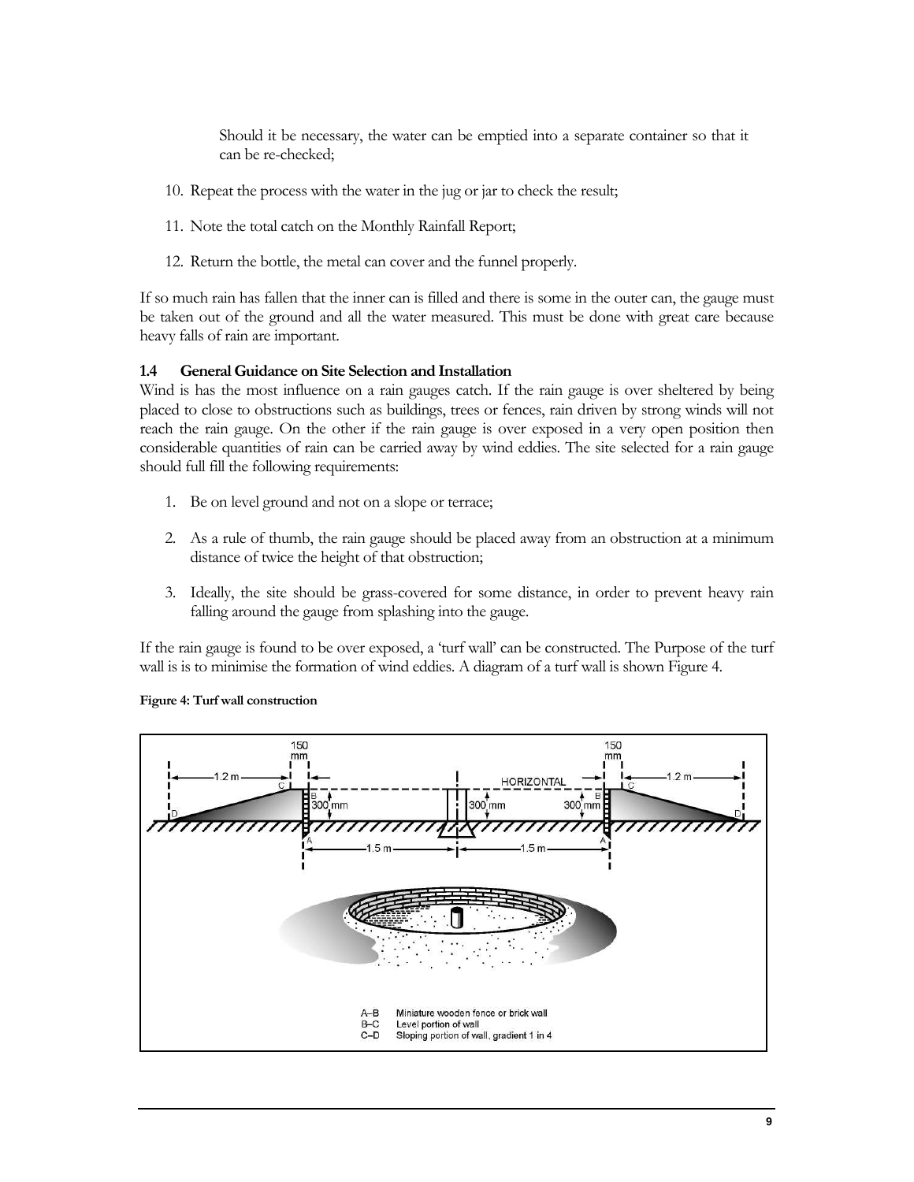Should it be necessary, the water can be emptied into a separate container so that it can be re-checked;

- 10. Repeat the process with the water in the jug or jar to check the result;
- 11. Note the total catch on the Monthly Rainfall Report;
- 12. Return the bottle, the metal can cover and the funnel properly.

If so much rain has fallen that the inner can is filled and there is some in the outer can, the gauge must be taken out of the ground and all the water measured. This must be done with great care because heavy falls of rain are important.

#### **1.4 General Guidance on Site Selection and Installation**

Wind is has the most influence on a rain gauges catch. If the rain gauge is over sheltered by being placed to close to obstructions such as buildings, trees or fences, rain driven by strong winds will not reach the rain gauge. On the other if the rain gauge is over exposed in a very open position then considerable quantities of rain can be carried away by wind eddies. The site selected for a rain gauge should full fill the following requirements:

- 1. Be on level ground and not on a slope or terrace;
- 2. As a rule of thumb, the rain gauge should be placed away from an obstruction at a minimum distance of twice the height of that obstruction;
- 3. Ideally, the site should be grass-covered for some distance, in order to prevent heavy rain falling around the gauge from splashing into the gauge.

If the rain gauge is found to be over exposed, a 'turf wall' can be constructed. The Purpose of the turf wall is is to minimise the formation of wind eddies. A diagram of a turf wall is shown Figure 4.



#### **Figure 4: Turf wall construction**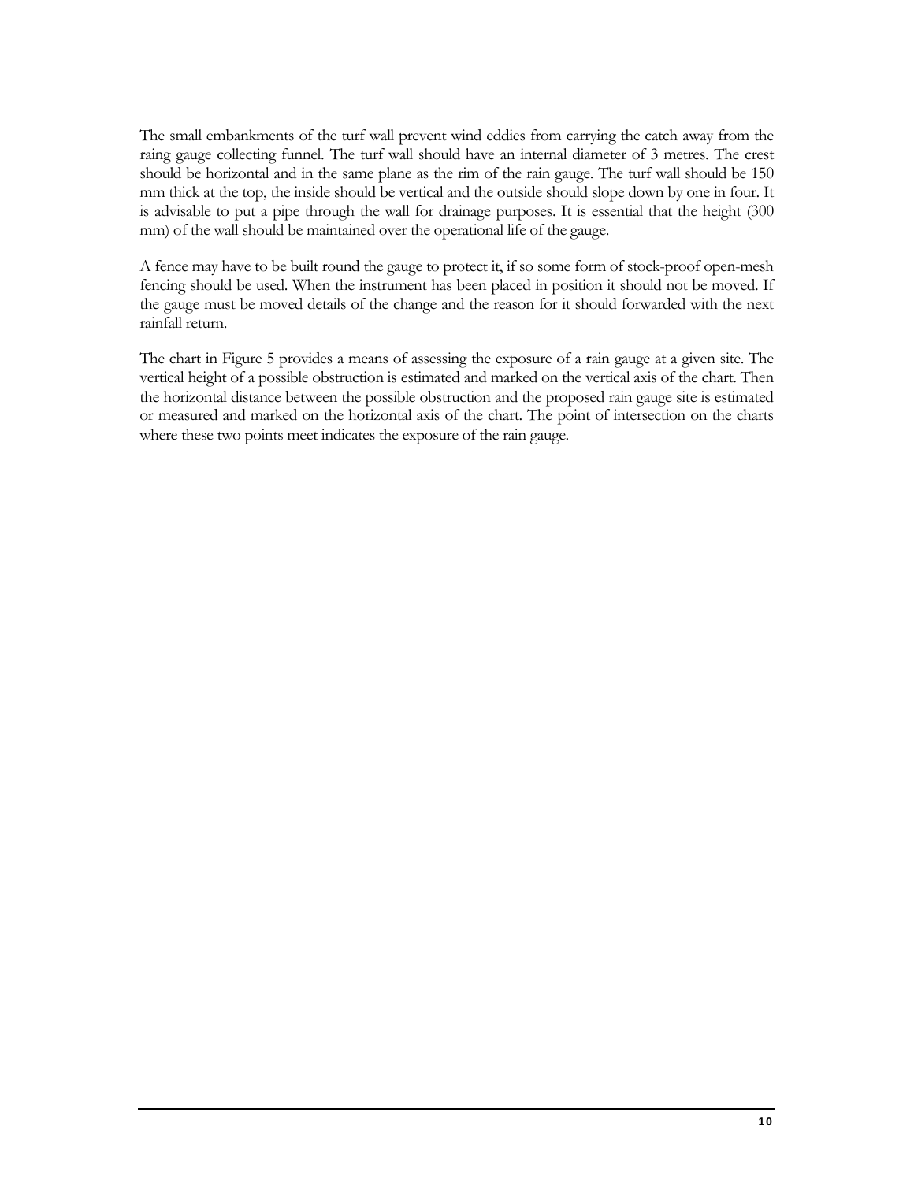The small embankments of the turf wall prevent wind eddies from carrying the catch away from the raing gauge collecting funnel. The turf wall should have an internal diameter of 3 metres. The crest should be horizontal and in the same plane as the rim of the rain gauge. The turf wall should be 150 mm thick at the top, the inside should be vertical and the outside should slope down by one in four. It is advisable to put a pipe through the wall for drainage purposes. It is essential that the height (300 mm) of the wall should be maintained over the operational life of the gauge.

A fence may have to be built round the gauge to protect it, if so some form of stock-proof open-mesh fencing should be used. When the instrument has been placed in position it should not be moved. If the gauge must be moved details of the change and the reason for it should forwarded with the next rainfall return.

The chart in Figure 5 provides a means of assessing the exposure of a rain gauge at a given site. The vertical height of a possible obstruction is estimated and marked on the vertical axis of the chart. Then the horizontal distance between the possible obstruction and the proposed rain gauge site is estimated or measured and marked on the horizontal axis of the chart. The point of intersection on the charts where these two points meet indicates the exposure of the rain gauge.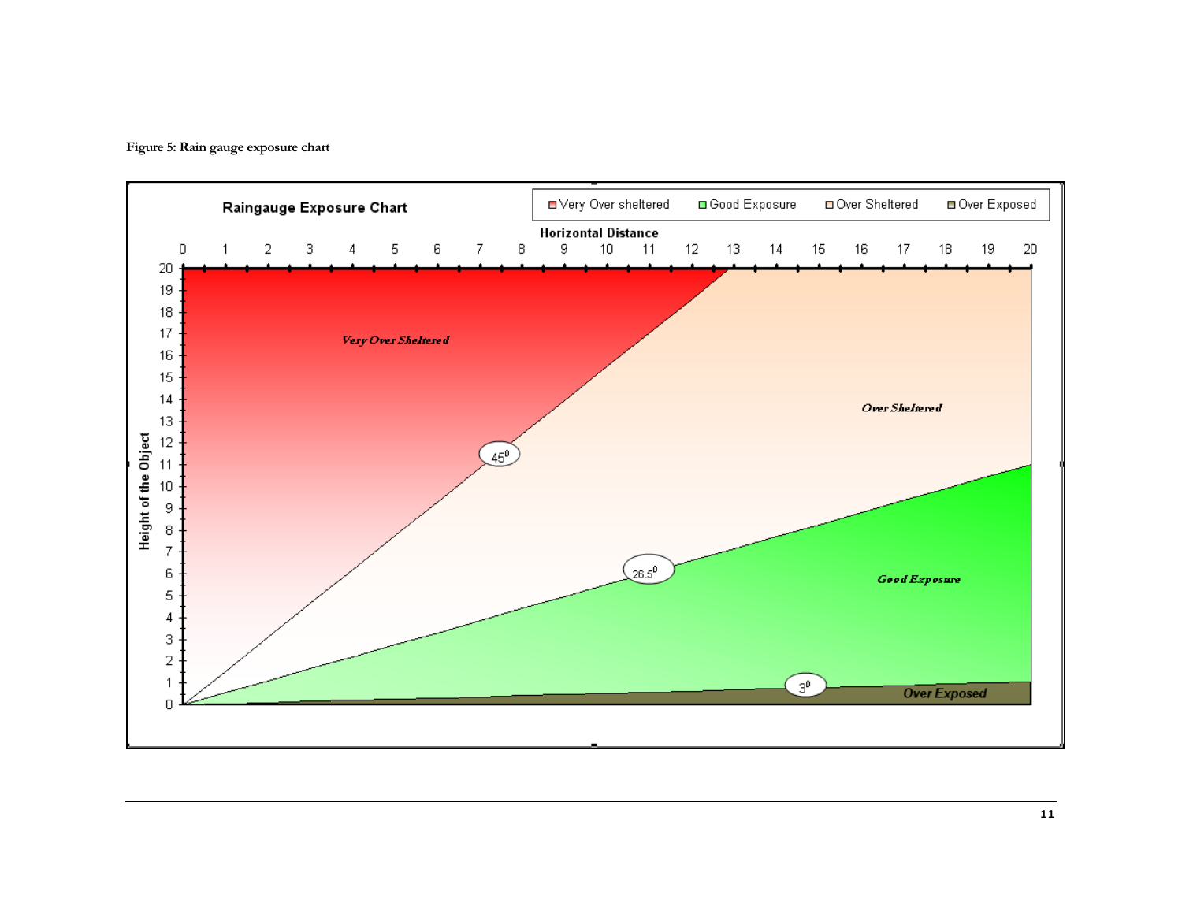

**Figure 5: Rain gauge exposure chart**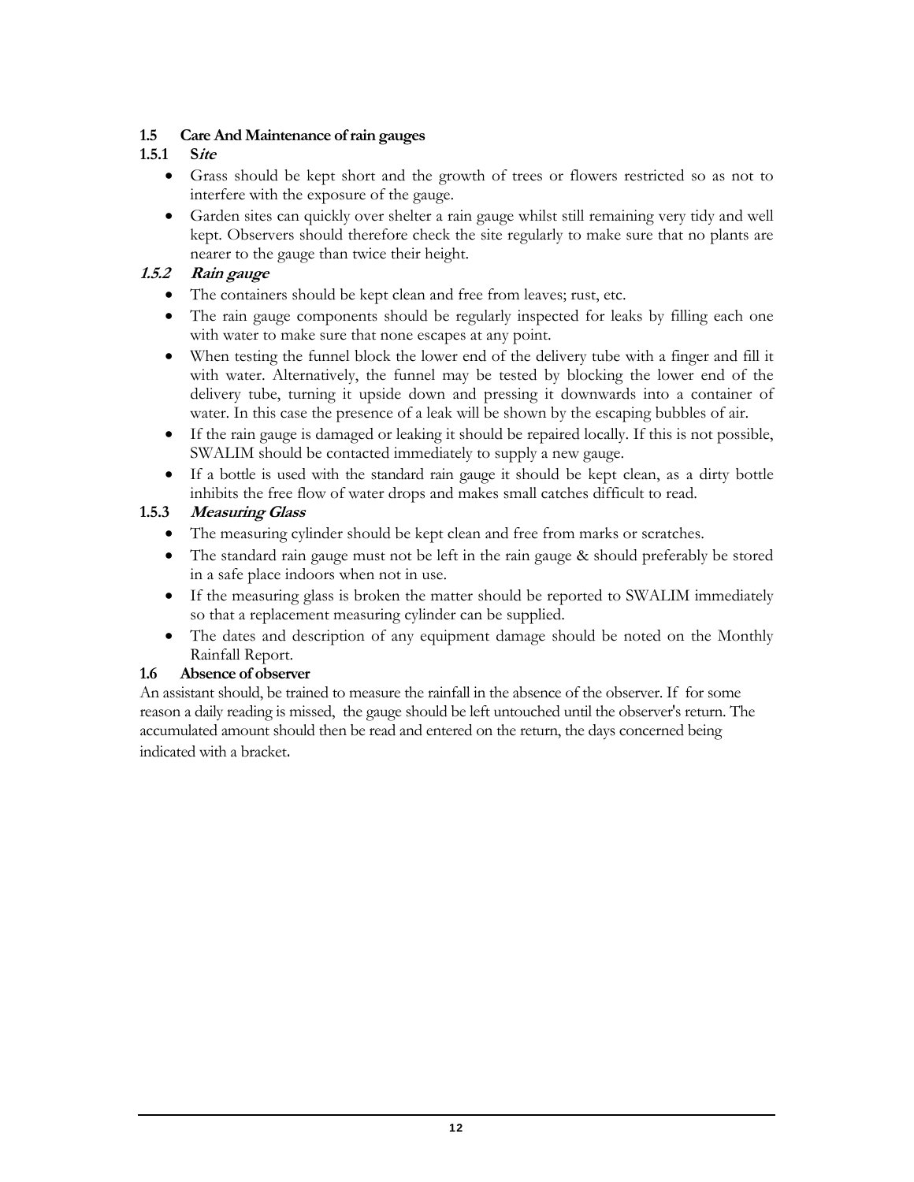# **1.5 Care And Maintenance of rain gauges**

# **1.5.1 Site**

- Grass should be kept short and the growth of trees or flowers restricted so as not to interfere with the exposure of the gauge.
- Garden sites can quickly over shelter a rain gauge whilst still remaining very tidy and well kept. Observers should therefore check the site regularly to make sure that no plants are nearer to the gauge than twice their height.

# **1.5.2 Rain gauge**

- The containers should be kept clean and free from leaves; rust, etc.
- The rain gauge components should be regularly inspected for leaks by filling each one with water to make sure that none escapes at any point.
- When testing the funnel block the lower end of the delivery tube with a finger and fill it with water. Alternatively, the funnel may be tested by blocking the lower end of the delivery tube, turning it upside down and pressing it downwards into a container of water. In this case the presence of a leak will be shown by the escaping bubbles of air.
- If the rain gauge is damaged or leaking it should be repaired locally. If this is not possible, SWALIM should be contacted immediately to supply a new gauge.
- If a bottle is used with the standard rain gauge it should be kept clean, as a dirty bottle inhibits the free flow of water drops and makes small catches difficult to read.

# **1.5.3 Measuring Glass**

- The measuring cylinder should be kept clean and free from marks or scratches.
- The standard rain gauge must not be left in the rain gauge & should preferably be stored in a safe place indoors when not in use.
- If the measuring glass is broken the matter should be reported to SWALIM immediately so that a replacement measuring cylinder can be supplied.
- The dates and description of any equipment damage should be noted on the Monthly Rainfall Report.

# **1.6 Absence of observer**

An assistant should, be trained to measure the rainfall in the absence of the observer. If for some reason a daily reading is missed, the gauge should be left untouched until the observer's return. The accumulated amount should then be read and entered on the return, the days concerned being indicated with a bracket.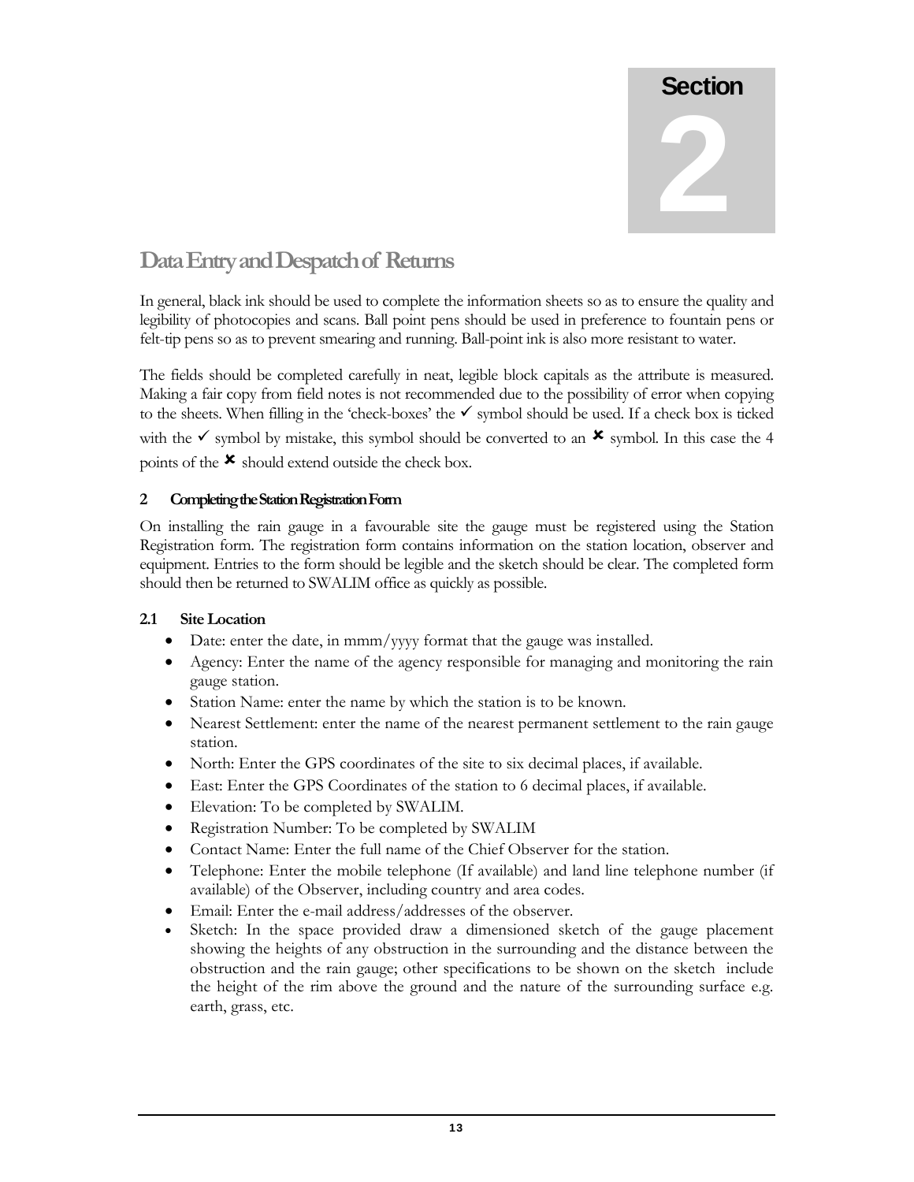2

# **Data Entry and Despatch of Returns**

In general, black ink should be used to complete the information sheets so as to ensure the quality and legibility of photocopies and scans. Ball point pens should be used in preference to fountain pens or felt-tip pens so as to prevent smearing and running. Ball-point ink is also more resistant to water.

The fields should be completed carefully in neat, legible block capitals as the attribute is measured. Making a fair copy from field notes is not recommended due to the possibility of error when copying to the sheets. When filling in the 'check-boxes' the  $\checkmark$  symbol should be used. If a check box is ticked with the  $\checkmark$  symbol by mistake, this symbol should be converted to an  $\checkmark$  symbol. In this case the 4 points of the  $\star$  should extend outside the check box.

# **2 Completing the Station Registration Form**

On installing the rain gauge in a favourable site the gauge must be registered using the Station Registration form. The registration form contains information on the station location, observer and equipment. Entries to the form should be legible and the sketch should be clear. The completed form should then be returned to SWALIM office as quickly as possible.

# **2.1 Site Location**

- Date: enter the date, in mmm/yyyy format that the gauge was installed.
- Agency: Enter the name of the agency responsible for managing and monitoring the rain gauge station.
- Station Name: enter the name by which the station is to be known.
- Nearest Settlement: enter the name of the nearest permanent settlement to the rain gauge station.
- North: Enter the GPS coordinates of the site to six decimal places, if available.
- East: Enter the GPS Coordinates of the station to 6 decimal places, if available.
- Elevation: To be completed by SWALIM.
- Registration Number: To be completed by SWALIM
- Contact Name: Enter the full name of the Chief Observer for the station.
- Telephone: Enter the mobile telephone (If available) and land line telephone number (if available) of the Observer, including country and area codes.
- Email: Enter the e-mail address/addresses of the observer.
- Sketch: In the space provided draw a dimensioned sketch of the gauge placement showing the heights of any obstruction in the surrounding and the distance between the obstruction and the rain gauge; other specifications to be shown on the sketch include the height of the rim above the ground and the nature of the surrounding surface e.g. earth, grass, etc.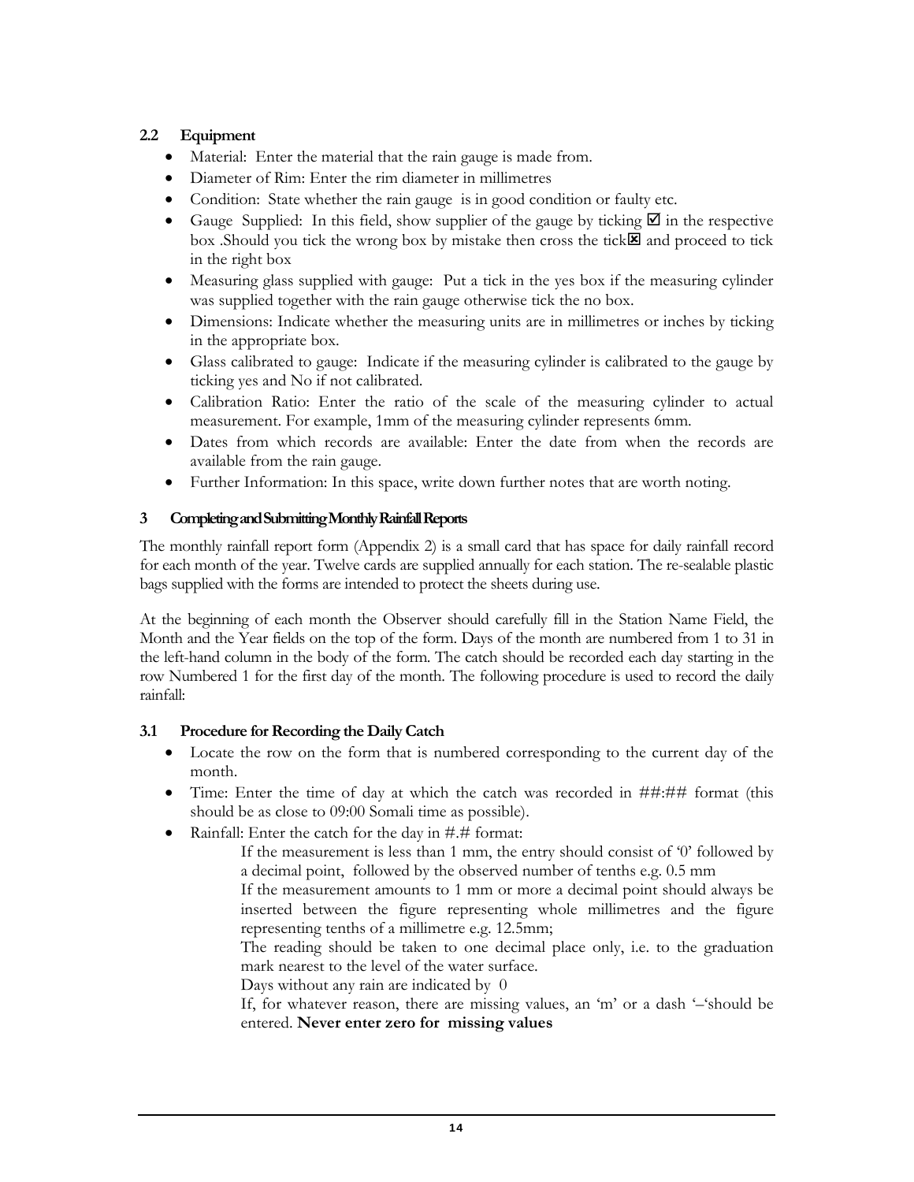# **2.2 Equipment**

- Material: Enter the material that the rain gauge is made from.
- Diameter of Rim: Enter the rim diameter in millimetres
- Condition: State whether the rain gauge is in good condition or faulty etc.
- Gauge Supplied: In this field, show supplier of the gauge by ticking  $\boxtimes$  in the respective box .Should you tick the wrong box by mistake then cross the tick: and proceed to tick in the right box
- Measuring glass supplied with gauge: Put a tick in the yes box if the measuring cylinder was supplied together with the rain gauge otherwise tick the no box.
- Dimensions: Indicate whether the measuring units are in millimetres or inches by ticking in the appropriate box.
- Glass calibrated to gauge: Indicate if the measuring cylinder is calibrated to the gauge by ticking yes and No if not calibrated.
- Calibration Ratio: Enter the ratio of the scale of the measuring cylinder to actual measurement. For example, 1mm of the measuring cylinder represents 6mm.
- Dates from which records are available: Enter the date from when the records are available from the rain gauge.
- Further Information: In this space, write down further notes that are worth noting.

# **3 Completing and Submitting Monthly Rainfall Reports**

The monthly rainfall report form (Appendix 2) is a small card that has space for daily rainfall record for each month of the year. Twelve cards are supplied annually for each station. The re-sealable plastic bags supplied with the forms are intended to protect the sheets during use.

At the beginning of each month the Observer should carefully fill in the Station Name Field, the Month and the Year fields on the top of the form. Days of the month are numbered from 1 to 31 in the left-hand column in the body of the form. The catch should be recorded each day starting in the row Numbered 1 for the first day of the month. The following procedure is used to record the daily rainfall:

# **3.1 Procedure for Recording the Daily Catch**

- Locate the row on the form that is numbered corresponding to the current day of the month.
- Time: Enter the time of day at which the catch was recorded in ##:## format (this should be as close to 09:00 Somali time as possible).
- Rainfall: Enter the catch for the day in #.# format:
	- If the measurement is less than 1 mm, the entry should consist of '0' followed by a decimal point, followed by the observed number of tenths e.g. 0.5 mm
	- If the measurement amounts to 1 mm or more a decimal point should always be inserted between the figure representing whole millimetres and the figure representing tenths of a millimetre e.g. 12.5mm;

The reading should be taken to one decimal place only, i.e. to the graduation mark nearest to the level of the water surface.

Days without any rain are indicated by 0

If, for whatever reason, there are missing values, an 'm' or a dash '–'should be entered. **Never enter zero for missing values**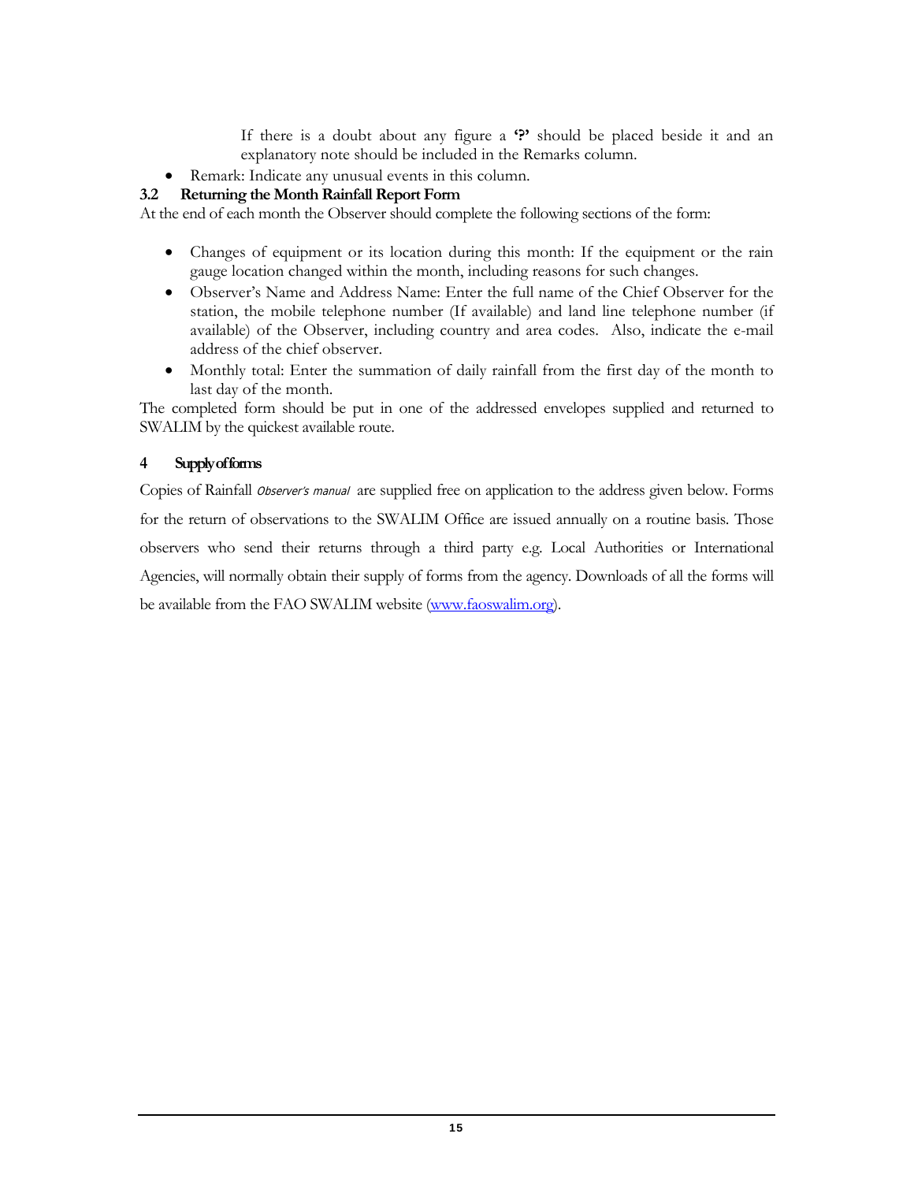If there is a doubt about any figure a **'?'** should be placed beside it and an explanatory note should be included in the Remarks column.

• Remark: Indicate any unusual events in this column.

# **3.2 Returning the Month Rainfall Report Form**

At the end of each month the Observer should complete the following sections of the form:

- Changes of equipment or its location during this month: If the equipment or the rain gauge location changed within the month, including reasons for such changes.
- Observer's Name and Address Name: Enter the full name of the Chief Observer for the station, the mobile telephone number (If available) and land line telephone number (if available) of the Observer, including country and area codes. Also, indicate the e-mail address of the chief observer.
- Monthly total: Enter the summation of daily rainfall from the first day of the month to last day of the month.

The completed form should be put in one of the addressed envelopes supplied and returned to SWALIM by the quickest available route.

# **4 Supply of forms**

Copies of Rainfall Observer's manual are supplied free on application to the address given below. Forms for the return of observations to the SWALIM Office are issued annually on a routine basis. Those observers who send their returns through a third party e.g. Local Authorities or International Agencies, will normally obtain their supply of forms from the agency. Downloads of all the forms will be available from the FAO SWALIM website (www.faoswalim.org).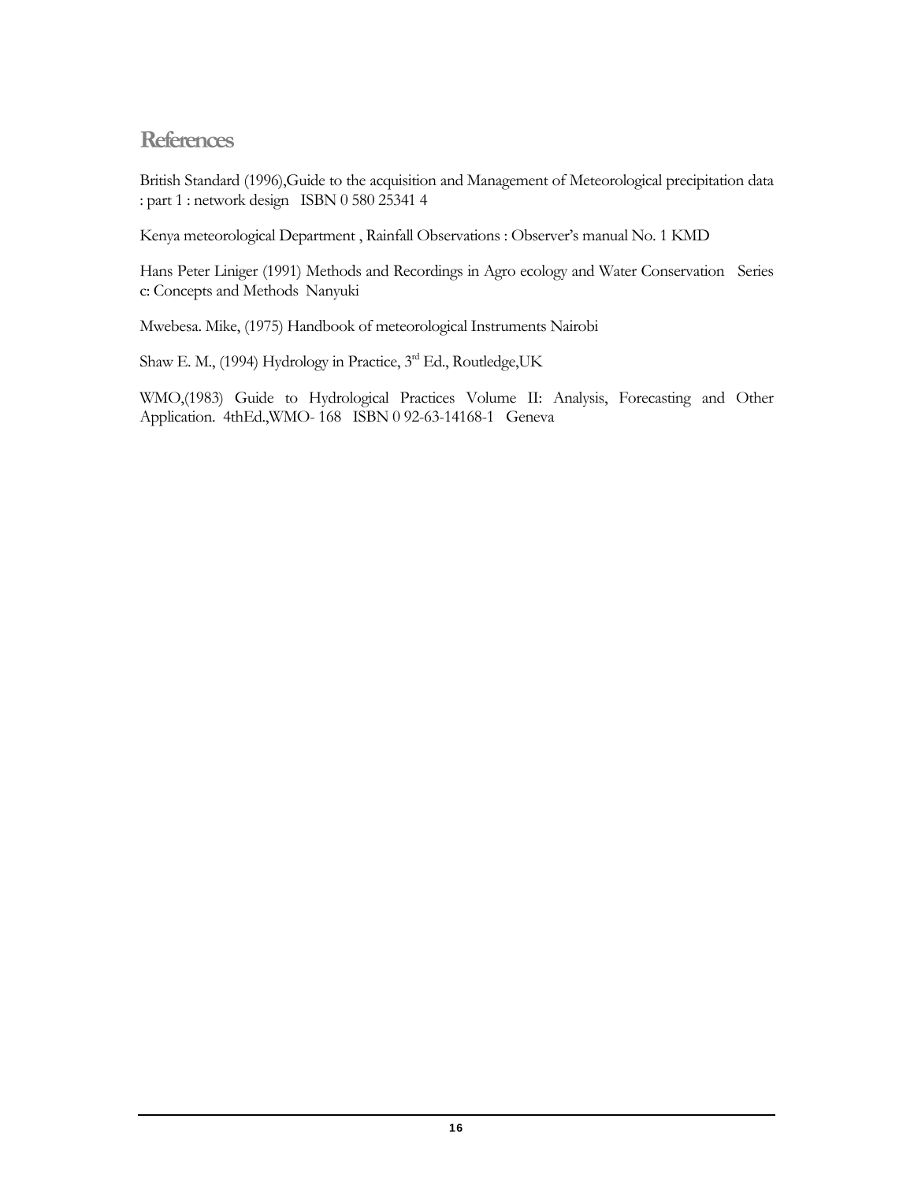# **References**

British Standard (1996),Guide to the acquisition and Management of Meteorological precipitation data : part 1 : network design ISBN 0 580 25341 4

Kenya meteorological Department , Rainfall Observations : Observer's manual No. 1 KMD

Hans Peter Liniger (1991) Methods and Recordings in Agro ecology and Water Conservation Series c: Concepts and Methods Nanyuki

Mwebesa. Mike, (1975) Handbook of meteorological Instruments Nairobi

Shaw E. M., (1994) Hydrology in Practice, 3<sup>rd</sup> Ed., Routledge, UK

WMO,(1983) Guide to Hydrological Practices Volume II: Analysis, Forecasting and Other Application. 4thEd.,WMO- 168 ISBN 0 92-63-14168-1 Geneva